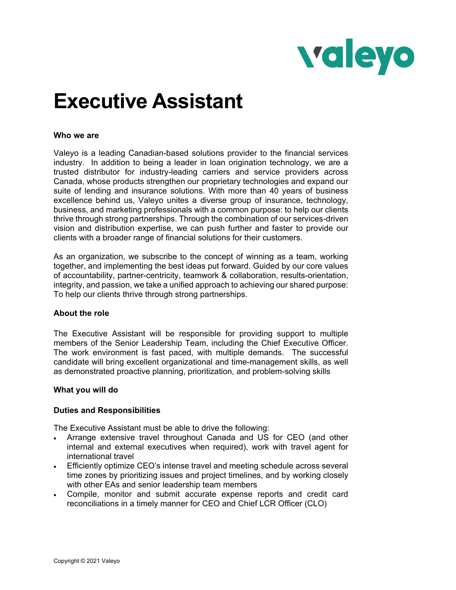

# **Executive Assistant**

### **Who we are**

Valeyo is a leading Canadian-based solutions provider to the financial services industry. In addition to being a leader in loan origination technology, we are a trusted distributor for industry-leading carriers and service providers across Canada, whose products strengthen our proprietary technologies and expand our suite of lending and insurance solutions. With more than 40 years of business excellence behind us, Valeyo unites a diverse group of insurance, technology, business, and marketing professionals with a common purpose: to help our clients thrive through strong partnerships. Through the combination of our services-driven vision and distribution expertise, we can push further and faster to provide our clients with a broader range of financial solutions for their customers.

As an organization, we subscribe to the concept of winning as a team, working together, and implementing the best ideas put forward. Guided by our core values of accountability, partner-centricity, teamwork & collaboration, results-orientation, integrity, and passion, we take a unified approach to achieving our shared purpose: To help our clients thrive through strong partnerships.

#### **About the role**

The Executive Assistant will be responsible for providing support to multiple members of the Senior Leadership Team, including the Chief Executive Officer. The work environment is fast paced, with multiple demands. The successful candidate will bring excellent organizational and time-management skills, as well as demonstrated proactive planning, prioritization, and problem-solving skills

#### **What you will do**

## **Duties and Responsibilities**

The Executive Assistant must be able to drive the following:

- Arrange extensive travel throughout Canada and US for CEO (and other internal and external executives when required), work with travel agent for international travel
- Efficiently optimize CEO's intense travel and meeting schedule across several time zones by prioritizing issues and project timelines, and by working closely with other EAs and senior leadership team members
- Compile, monitor and submit accurate expense reports and credit card reconciliations in a timely manner for CEO and Chief LCR Officer (CLO)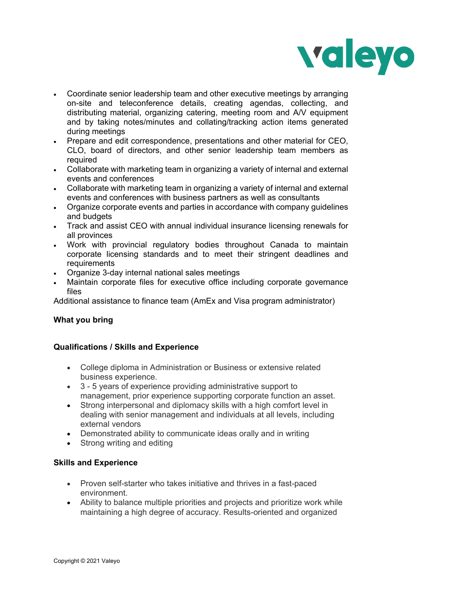

- Coordinate senior leadership team and other executive meetings by arranging on-site and teleconference details, creating agendas, collecting, and distributing material, organizing catering, meeting room and A/V equipment and by taking notes/minutes and collating/tracking action items generated during meetings
- Prepare and edit correspondence, presentations and other material for CEO, CLO, board of directors, and other senior leadership team members as required
- Collaborate with marketing team in organizing a variety of internal and external events and conferences
- Collaborate with marketing team in organizing a variety of internal and external events and conferences with business partners as well as consultants
- Organize corporate events and parties in accordance with company guidelines and budgets
- Track and assist CEO with annual individual insurance licensing renewals for all provinces
- Work with provincial regulatory bodies throughout Canada to maintain corporate licensing standards and to meet their stringent deadlines and requirements
- Organize 3-day internal national sales meetings
- Maintain corporate files for executive office including corporate governance files

Additional assistance to finance team (AmEx and Visa program administrator)

# **What you bring**

## **Qualifications / Skills and Experience**

- College diploma in Administration or Business or extensive related business experience.
- 3 5 years of experience providing administrative support to management, prior experience supporting corporate function an asset.
- Strong interpersonal and diplomacy skills with a high comfort level in dealing with senior management and individuals at all levels, including external vendors
- Demonstrated ability to communicate ideas orally and in writing
- Strong writing and editing

# **Skills and Experience**

- Proven self-starter who takes initiative and thrives in a fast-paced environment.
- Ability to balance multiple priorities and projects and prioritize work while maintaining a high degree of accuracy. Results-oriented and organized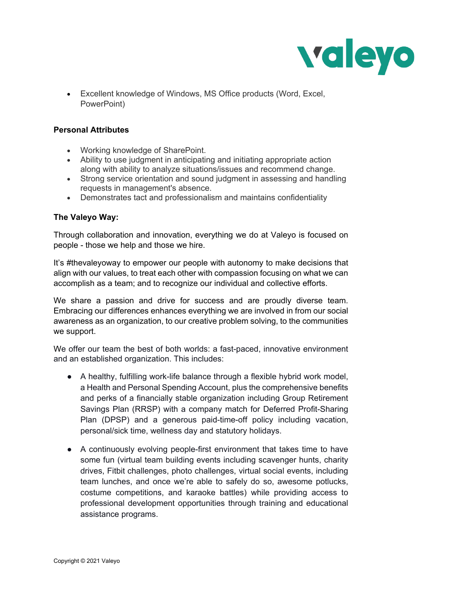

• Excellent knowledge of Windows, MS Office products (Word, Excel, PowerPoint)

# **Personal Attributes**

- Working knowledge of SharePoint.
- Ability to use judgment in anticipating and initiating appropriate action along with ability to analyze situations/issues and recommend change.
- Strong service orientation and sound judgment in assessing and handling requests in management's absence.
- Demonstrates tact and professionalism and maintains confidentiality

# **The Valeyo Way:**

Through collaboration and innovation, everything we do at Valeyo is focused on people - those we help and those we hire.

It's #thevaleyoway to empower our people with autonomy to make decisions that align with our values, to treat each other with compassion focusing on what we can accomplish as a team; and to recognize our individual and collective efforts.

We share a passion and drive for success and are proudly diverse team. Embracing our differences enhances everything we are involved in from our social awareness as an organization, to our creative problem solving, to the communities we support.

We offer our team the best of both worlds: a fast-paced, innovative environment and an established organization. This includes:

- A healthy, fulfilling work-life balance through a flexible hybrid work model, a Health and Personal Spending Account, plus the comprehensive benefits and perks of a financially stable organization including Group Retirement Savings Plan (RRSP) with a company match for Deferred Profit-Sharing Plan (DPSP) and a generous paid-time-off policy including vacation, personal/sick time, wellness day and statutory holidays.
- A continuously evolving people-first environment that takes time to have some fun (virtual team building events including scavenger hunts, charity drives, Fitbit challenges, photo challenges, virtual social events, including team lunches, and once we're able to safely do so, awesome potlucks, costume competitions, and karaoke battles) while providing access to professional development opportunities through training and educational assistance programs.